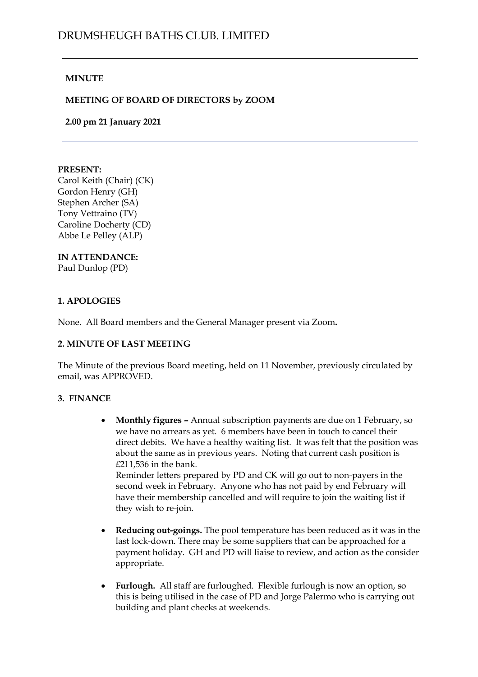# **MINUTE**

# **MEETING OF BOARD OF DIRECTORS by ZOOM**

**2.00 pm 21 January 2021**

#### **PRESENT:**

Carol Keith (Chair) (CK) Gordon Henry (GH) Stephen Archer (SA) Tony Vettraino (TV) Caroline Docherty (CD) Abbe Le Pelley (ALP)

#### **IN ATTENDANCE:** Paul Dunlop (PD)

# **1. APOLOGIES**

None. All Board members and the General Manager present via Zoom**.**

#### **2. MINUTE OF LAST MEETING**

The Minute of the previous Board meeting, held on 11 November, previously circulated by email, was APPROVED.

#### **3. FINANCE**

• **Monthly figures –** Annual subscription payments are due on 1 February, so we have no arrears as yet. 6 members have been in touch to cancel their direct debits. We have a healthy waiting list. It was felt that the position was about the same as in previous years. Noting that current cash position is £211,536 in the bank.

Reminder letters prepared by PD and CK will go out to non-payers in the second week in February. Anyone who has not paid by end February will have their membership cancelled and will require to join the waiting list if they wish to re-join.

- **Reducing out-goings.** The pool temperature has been reduced as it was in the last lock-down. There may be some suppliers that can be approached for a payment holiday. GH and PD will liaise to review, and action as the consider appropriate.
- **Furlough.** All staff are furloughed. Flexible furlough is now an option, so this is being utilised in the case of PD and Jorge Palermo who is carrying out building and plant checks at weekends.